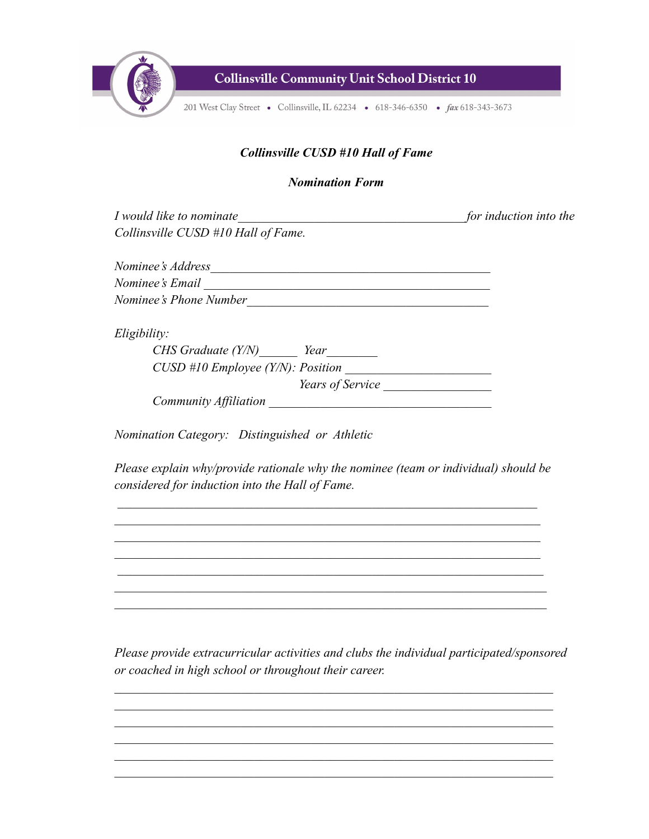

**Collinsville Community Unit School District 10** 

201 West Clay Street • Collinsville, IL 62234 • 618-346-6350 • fax 618-343-3673

## *Collinsville CUSD #10 Hall of Fame*

## *Nomination Form*

*I* would like to nominate  $\Box$ *Collinsville CUSD #10 Hall of Fame. Nominee's Address* 

*Nominee's Email \_\_\_\_\_\_\_\_\_\_\_\_\_\_\_\_\_\_\_\_\_\_\_\_\_\_\_\_\_\_\_\_\_\_\_\_\_\_\_\_\_\_\_\_\_ Nominee's Phone Number\_\_\_\_\_\_\_\_\_\_\_\_\_\_\_\_\_\_\_\_\_\_\_\_\_\_\_\_\_\_\_\_\_\_\_\_\_\_*

*Eligibility:*

| CHS Graduate (Y/N)                  | Year             |  |
|-------------------------------------|------------------|--|
| $CUSD$ #10 Employee (Y/N): Position |                  |  |
|                                     | Years of Service |  |
| Community Affiliation               |                  |  |

*Nomination Category: Distinguished or Athletic*

*Please explain why/provide rationale why the nominee (team or individual) should be considered for induction into the Hall of Fame.*

*Please provide extracurricular activities and clubs the individual participated/sponsored or coached in high school or throughout their career.*

 $\mathcal{L} = \{ \mathcal{L} \mathcal{L} \mathcal{L} \mathcal{L} \mathcal{L} \mathcal{L} \mathcal{L} \mathcal{L} \mathcal{L} \mathcal{L} \mathcal{L} \mathcal{L} \mathcal{L} \mathcal{L} \mathcal{L} \mathcal{L} \mathcal{L} \mathcal{L} \mathcal{L} \mathcal{L} \mathcal{L} \mathcal{L} \mathcal{L} \mathcal{L} \mathcal{L} \mathcal{L} \mathcal{L} \mathcal{L} \mathcal{L} \mathcal{L} \mathcal{L} \mathcal{L} \mathcal{L} \mathcal{L} \mathcal{L} \$